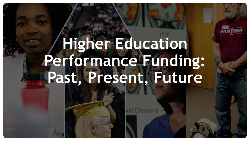# **Higher Education Performance Funding: Past, Present, Future**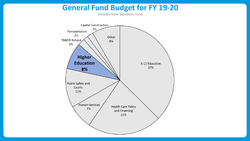#### **General Fund Budget for FY 19-20**

Includes State Education Fund

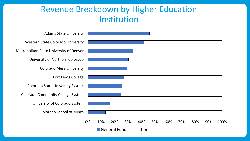#### Revenue Breakdown by Higher Education Institution

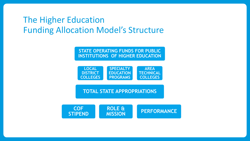### The Higher Education Funding Allocation Model's Structure

**STATE OPERATING FUNDS FOR PUBLIC INSTITUTIONS OF HIGHER EDUCATION**



#### **TOTAL STATE APPROPRIATIONS**

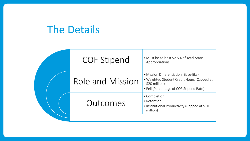## The Details

| <b>COF Stipend</b> | • Must be at least 52.5% of Total State<br>Appropriations                                                                                       |
|--------------------|-------------------------------------------------------------------------------------------------------------------------------------------------|
| Role and Mission   | • Mission Differentiation (Base-like)<br>. Weighted Student Credit Hours (Capped at<br>\$20 million)<br>• Pell (Percentage of COF Stipend Rate) |
| Outcomes           | • Completion<br>• Retention<br>• Institutional Productivity (Capped at \$10<br>million)                                                         |
|                    |                                                                                                                                                 |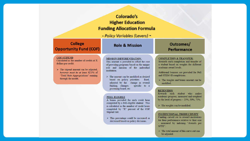|                                                                                                                                                                                                                                                  | Colorado's<br><b>Higher Education</b><br><b>Funding Allocation Formula</b>                                                                                                                                                                                                                                                                                                                                                                                                                                                                                                                                                                                                                               |                                                                                                                                                                                                                                                                                                                                                                                                                                                                                                                                                                                                                                                                                       |  |  |  |  |  |  |  |  |  |  |
|--------------------------------------------------------------------------------------------------------------------------------------------------------------------------------------------------------------------------------------------------|----------------------------------------------------------------------------------------------------------------------------------------------------------------------------------------------------------------------------------------------------------------------------------------------------------------------------------------------------------------------------------------------------------------------------------------------------------------------------------------------------------------------------------------------------------------------------------------------------------------------------------------------------------------------------------------------------------|---------------------------------------------------------------------------------------------------------------------------------------------------------------------------------------------------------------------------------------------------------------------------------------------------------------------------------------------------------------------------------------------------------------------------------------------------------------------------------------------------------------------------------------------------------------------------------------------------------------------------------------------------------------------------------------|--|--|--|--|--|--|--|--|--|--|
| - Policy Variables (Levers) -                                                                                                                                                                                                                    |                                                                                                                                                                                                                                                                                                                                                                                                                                                                                                                                                                                                                                                                                                          |                                                                                                                                                                                                                                                                                                                                                                                                                                                                                                                                                                                                                                                                                       |  |  |  |  |  |  |  |  |  |  |
| <b>College</b><br><b>Opportunity Fund (COF)</b>                                                                                                                                                                                                  | <b>Role &amp; Mission</b>                                                                                                                                                                                                                                                                                                                                                                                                                                                                                                                                                                                                                                                                                | Outcomes/<br><b>Performance</b>                                                                                                                                                                                                                                                                                                                                                                                                                                                                                                                                                                                                                                                       |  |  |  |  |  |  |  |  |  |  |
| <b>COF STIPEND</b><br>Calculated as the number of credits at X<br>dollars per credit.<br>$\triangleright$ The stipend amount can be adjusted,<br>however must be at least 52.5% of<br>"Total State Appropriations" running<br>through the model. | <b>MISSION DIFFERENTIATION:</b><br>This amount is provided to offset the cost<br>of providing programs based on the unique<br>role and mission of the individual<br>institution<br>$\triangleright$ The amount can be modified as desired<br>based on policy priorities:<br>fixed.<br>adjusted by the<br>change in overall<br>funding, changes<br>specific to a<br>governing board, etc.<br>PELL-ELIGBLE<br>A bonus provided for each credit hour<br>completed by a Pell-eligible student. This<br>is calculated as the number of credit hours<br>completed by "X" percent of the COF<br>Stipend rate.<br>$\triangleright$ This percentage could be increased or<br>decreased based on policy decisions. | <b>COMPLETION &amp; TRANSFER:</b><br>Rewards each completion and transfer of<br>a student based on weights for different<br>academic award levels.<br>Additional bonuses are provided for Pell<br>and STEM+H completions.<br>$\triangleright$ The weights and bonus amount can be<br>modified.<br><b>RETENTION</b><br>Rewards each student who<br>makes<br>academic progress, measured and weighted<br>by the level of progress $-25%$ , 50%, 75%.<br>$\triangleright$ The weights can be modified.<br><b>INSTITUTIONAL PRODUCTIVITY</b><br>Funding carved out to reward institutions<br>for their performance relative to their size<br>- measured by indexing "Awards per<br>SFTE". |  |  |  |  |  |  |  |  |  |  |

 $\blacktriangleright~$  The total amount of this carve-out can  $% \left\vert \left( \mathcal{A},\mathcal{A}\right) \right\vert$  be adjusted.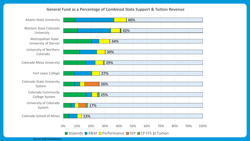#### **General Fund as a Percentage of Combined State Support & Tuition Revenue**



Source: DHE Calculations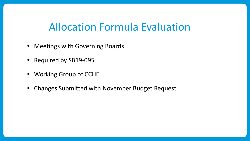## Allocation Formula Evaluation

- Meetings with Governing Boards
- Required by SB19-095
- Working Group of CCHE
- Changes Submitted with November Budget Request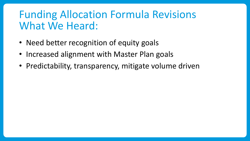## Funding Allocation Formula Revisions What We Heard:

- Need better recognition of equity goals
- Increased alignment with Master Plan goals
- Predictability, transparency, mitigate volume driven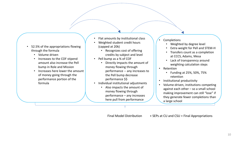- 52.5% of the appropriations flowing through the formula
	- Volume driven
	- Increases to the COF stipend amount also increase the Pell bump in Role and Mission
	- Increases here lower the amount of money going through the performance portion of the formula
- Flat amounts by institutional class
- Weighted student credit hours (capped at 20k)
	- Recognizes cost of offering credits by subject and level
- Pell bump as a % of COF
	- Directly impacts the amount of money flowing through performance -- any increases to the Pell bump decrease performance \$\$
- Individual institutional adjustments
	- Also impacts the amount of money flowing through performance – any increases here pull from performance
- **Completions** 
	- Weighted by degree level
	- Extra weight for Pell and STEM-H
	- Transfers count as a completion at CCCS, Adams, Mesa
	- Lack of transparency around weighting calculation steps
- Retention
	- Funding at 25%, 50%, 75% retention
- Institutional productivity
- Volume-driven, institutions competing against each other – so a small school making improvement can still "lose" if they generate fewer completions than a large school

Final Model Distribution + SEPs at CU and CSU = Final Appropriations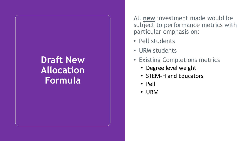## **Draft New Allocation Formula**

All **new** investment made would be subject to performance metrics with particular emphasis on:

- Pell students
- URM students
- Existing Completions metrics
	- Degree level weight
	- STEM-H and Educators
	- Pell
	- URM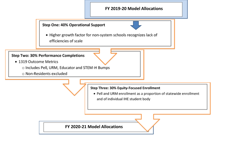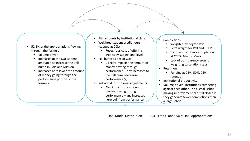- 52.5% of the appropriations flowing through the formula
	- Volume driven
	- Increases to the COF stipend amount also increase the Pell bump in Role and Mission
	- Increases here lower the amount of money going through the performance portion of the formula
- Flat amounts by institutional class
- Weighted student credit hours (capped at 20k)
	- Recognizes cost of offering credits by subject and level
- Pell bump as a % of COF
	- Directly impacts the amount of money flowing through performance -- any increases to the Pell bump decrease performance \$\$
- Individual institutional adjustments
	- Also impacts the amount of money flowing through performance – any increases here pull from performance
- **Completions** 
	- Weighted by degree level
	- Extra weight for Pell and STEM-H
	- Transfers count as a completion at CCCS, Adams, Mesa
	- Lack of transparency around weighting calculation steps
- Retention
	- Funding at 25%, 50%, 75% retention
- Institutional productivity
- Volume-driven, institutions competing against each other – so a small school making improvement can still "lose" if they generate fewer completions than a large school

Final Model Distribution + SEPs at CU and CSU = Final Appropriations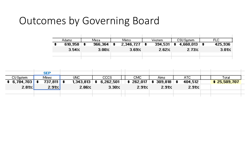## Outcomes by Governing Board

| Adams,       |                  |                  |           |                          |          |                                             |              | FLC.    |
|--------------|------------------|------------------|-----------|--------------------------|----------|---------------------------------------------|--------------|---------|
| 610,958      | $\ddot{\bullet}$ | Mesal<br>966,364 | $\cdot$ . | Metro-<br>$2,346,727$ \$ | Westerni | CSU System<br>$394,531 \pm 4,660,013 \pm 1$ |              | 425,936 |
| $3.54\times$ | 3.00%            |                  | 3.69%     |                          | 2.62%    | 2.73%                                       | <b>3.01%</b> |         |
|              |                  |                  |           |                          |          |                                             |              |         |

|                  | <b>SEP</b>           |                  |                   |                                                                          |       |         |                     |  |
|------------------|----------------------|------------------|-------------------|--------------------------------------------------------------------------|-------|---------|---------------------|--|
| CU System        | Mines.               | UNC.             | CCCS              | CMC.                                                                     | Aims  | ATC.    | Totall              |  |
| $\div$ 6,784,703 | $737,811$ $\uparrow$ | $1,343,813$   \$ | 6,262,501         | $\brace{\text{*}}$ 262,017 $\brace{\text{*}}$ 309,818 $\brace{\text{*}}$ |       | 404.512 | <b>* 25,509,707</b> |  |
| 2.81Z            | 2.91%                | 2.86%            | 3.30 <sub>2</sub> | 2.912                                                                    | 2.91% | 2.912   |                     |  |
|                  |                      |                  |                   |                                                                          |       |         |                     |  |
|                  |                      |                  |                   |                                                                          |       |         |                     |  |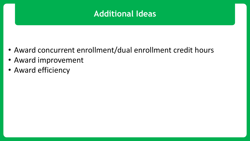#### **Additional Ideas**

- Award concurrent enrollment/dual enrollment credit hours
- Award improvement
- Award efficiency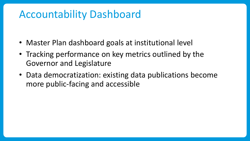## Accountability Dashboard

- Master Plan dashboard goals at institutional level
- Tracking performance on key metrics outlined by the Governor and Legislature
- Data democratization: existing data publications become more public-facing and accessible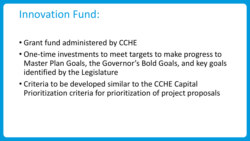## Innovation Fund:

- Grant fund administered by CCHE
- One-time investments to meet targets to make progress to Master Plan Goals, the Governor's Bold Goals, and key goals identified by the Legislature
- Criteria to be developed similar to the CCHE Capital Prioritization criteria for prioritization of project proposals